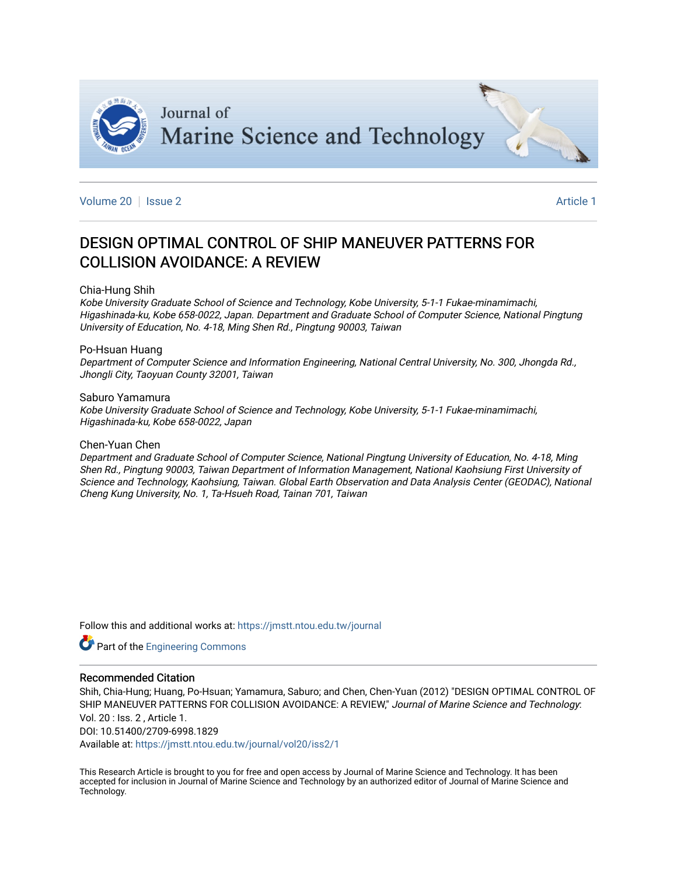

[Volume 20](https://jmstt.ntou.edu.tw/journal/vol20) | [Issue 2](https://jmstt.ntou.edu.tw/journal/vol20/iss2) **Article 1** 

## DESIGN OPTIMAL CONTROL OF SHIP MANEUVER PATTERNS FOR COLLISION AVOIDANCE: A REVIEW

#### Chia-Hung Shih

Kobe University Graduate School of Science and Technology, Kobe University, 5-1-1 Fukae-minamimachi, Higashinada-ku, Kobe 658-0022, Japan. Department and Graduate School of Computer Science, National Pingtung University of Education, No. 4-18, Ming Shen Rd., Pingtung 90003, Taiwan

#### Po-Hsuan Huang

Department of Computer Science and Information Engineering, National Central University, No. 300, Jhongda Rd., Jhongli City, Taoyuan County 32001, Taiwan

#### Saburo Yamamura

Kobe University Graduate School of Science and Technology, Kobe University, 5-1-1 Fukae-minamimachi, Higashinada-ku, Kobe 658-0022, Japan

#### Chen-Yuan Chen

Department and Graduate School of Computer Science, National Pingtung University of Education, No. 4-18, Ming Shen Rd., Pingtung 90003, Taiwan Department of Information Management, National Kaohsiung First University of Science and Technology, Kaohsiung, Taiwan. Global Earth Observation and Data Analysis Center (GEODAC), National Cheng Kung University, No. 1, Ta-Hsueh Road, Tainan 701, Taiwan

Follow this and additional works at: [https://jmstt.ntou.edu.tw/journal](https://jmstt.ntou.edu.tw/journal?utm_source=jmstt.ntou.edu.tw%2Fjournal%2Fvol20%2Fiss2%2F1&utm_medium=PDF&utm_campaign=PDFCoverPages)

Part of the [Engineering Commons](http://network.bepress.com/hgg/discipline/217?utm_source=jmstt.ntou.edu.tw%2Fjournal%2Fvol20%2Fiss2%2F1&utm_medium=PDF&utm_campaign=PDFCoverPages) 

#### Recommended Citation

Shih, Chia-Hung; Huang, Po-Hsuan; Yamamura, Saburo; and Chen, Chen-Yuan (2012) "DESIGN OPTIMAL CONTROL OF SHIP MANEUVER PATTERNS FOR COLLISION AVOIDANCE: A REVIEW," Journal of Marine Science and Technology. Vol. 20 : Iss. 2 , Article 1.

DOI: 10.51400/2709-6998.1829

Available at: [https://jmstt.ntou.edu.tw/journal/vol20/iss2/1](https://jmstt.ntou.edu.tw/journal/vol20/iss2/1?utm_source=jmstt.ntou.edu.tw%2Fjournal%2Fvol20%2Fiss2%2F1&utm_medium=PDF&utm_campaign=PDFCoverPages)

This Research Article is brought to you for free and open access by Journal of Marine Science and Technology. It has been accepted for inclusion in Journal of Marine Science and Technology by an authorized editor of Journal of Marine Science and Technology.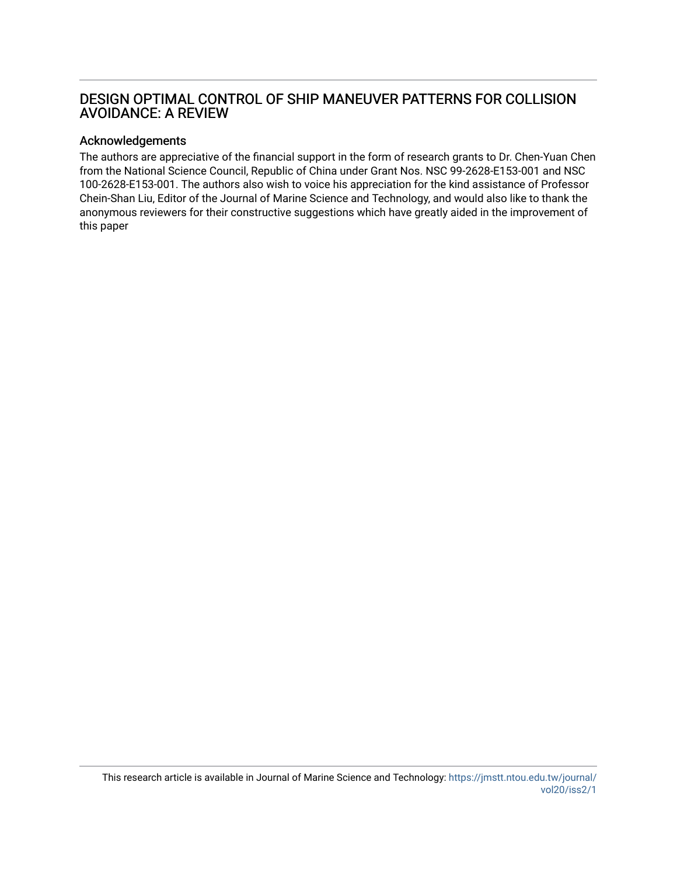## DESIGN OPTIMAL CONTROL OF SHIP MANEUVER PATTERNS FOR COLLISION AVOIDANCE: A REVIEW

### Acknowledgements

The authors are appreciative of the financial support in the form of research grants to Dr. Chen-Yuan Chen from the National Science Council, Republic of China under Grant Nos. NSC 99-2628-E153-001 and NSC 100-2628-E153-001. The authors also wish to voice his appreciation for the kind assistance of Professor Chein-Shan Liu, Editor of the Journal of Marine Science and Technology, and would also like to thank the anonymous reviewers for their constructive suggestions which have greatly aided in the improvement of this paper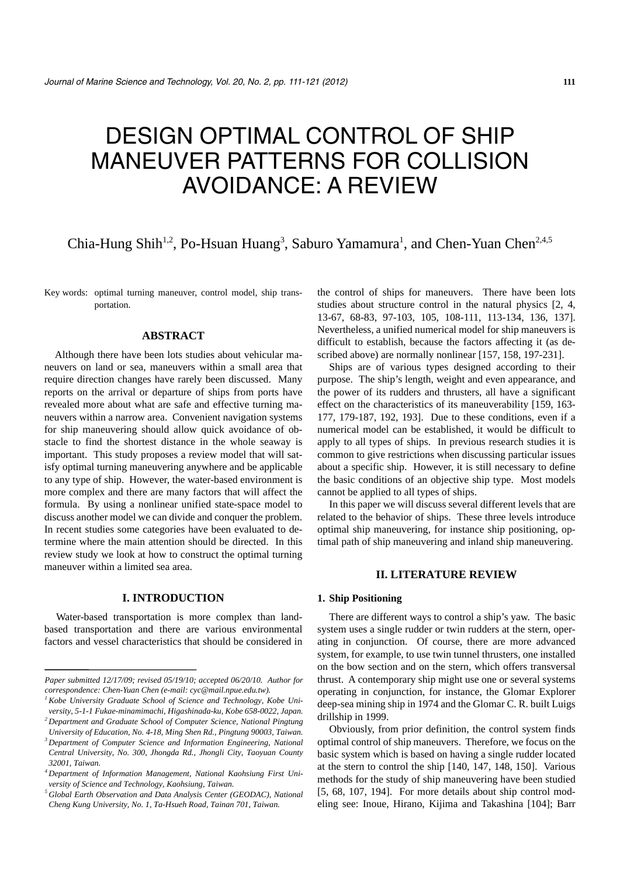# DESIGN OPTIMAL CONTROL OF SHIP MANEUVER PATTERNS FOR COLLISION AVOIDANCE: A REVIEW

## Chia-Hung Shih<sup>1,2</sup>, Po-Hsuan Huang<sup>3</sup>, Saburo Yamamura<sup>1</sup>, and Chen-Yuan Chen<sup>2,4,5</sup>

Key words: optimal turning maneuver, control model, ship transportation.

#### **ABSTRACT**

Although there have been lots studies about vehicular maneuvers on land or sea, maneuvers within a small area that require direction changes have rarely been discussed. Many reports on the arrival or departure of ships from ports have revealed more about what are safe and effective turning maneuvers within a narrow area. Convenient navigation systems for ship maneuvering should allow quick avoidance of obstacle to find the shortest distance in the whole seaway is important. This study proposes a review model that will satisfy optimal turning maneuvering anywhere and be applicable to any type of ship. However, the water-based environment is more complex and there are many factors that will affect the formula. By using a nonlinear unified state-space model to discuss another model we can divide and conquer the problem. In recent studies some categories have been evaluated to determine where the main attention should be directed. In this review study we look at how to construct the optimal turning maneuver within a limited sea area.

#### **I. INTRODUCTION**

Water-based transportation is more complex than landbased transportation and there are various environmental factors and vessel characteristics that should be considered in the control of ships for maneuvers. There have been lots studies about structure control in the natural physics [2, 4, 13-67, 68-83, 97-103, 105, 108-111, 113-134, 136, 137]. Nevertheless, a unified numerical model for ship maneuvers is difficult to establish, because the factors affecting it (as described above) are normally nonlinear [157, 158, 197-231].

Ships are of various types designed according to their purpose. The ship's length, weight and even appearance, and the power of its rudders and thrusters, all have a significant effect on the characteristics of its maneuverability [159, 163- 177, 179-187, 192, 193]. Due to these conditions, even if a numerical model can be established, it would be difficult to apply to all types of ships. In previous research studies it is common to give restrictions when discussing particular issues about a specific ship. However, it is still necessary to define the basic conditions of an objective ship type. Most models cannot be applied to all types of ships.

In this paper we will discuss several different levels that are related to the behavior of ships. These three levels introduce optimal ship maneuvering, for instance ship positioning, optimal path of ship maneuvering and inland ship maneuvering.

#### **II. LITERATURE REVIEW**

#### **1. Ship Positioning**

There are different ways to control a ship's yaw. The basic system uses a single rudder or twin rudders at the stern, operating in conjunction. Of course, there are more advanced system, for example, to use twin tunnel thrusters, one installed on the bow section and on the stern, which offers transversal thrust. A contemporary ship might use one or several systems operating in conjunction, for instance, the Glomar Explorer deep-sea mining ship in 1974 and the Glomar C. R. built Luigs drillship in 1999.

Obviously, from prior definition, the control system finds optimal control of ship maneuvers. Therefore, we focus on the basic system which is based on having a single rudder located at the stern to control the ship [140, 147, 148, 150]. Various methods for the study of ship maneuvering have been studied [5, 68, 107, 194]. For more details about ship control modeling see: Inoue, Hirano, Kijima and Takashina [104]; Barr

*Paper submitted 12/17/09; revised 05/19/10; accepted 06/20/10. Author for correspondence: Chen-Yuan Chen (e-mail: cyc@mail.npue.edu.tw).* 

*<sup>1</sup> Kobe University Graduate School of Science and Technology, Kobe University, 5-1-1 Fukae-minamimachi, Higashinada-ku, Kobe 658-0022, Japan.*

*<sup>2</sup> Department and Graduate School of Computer Science, National Pingtung University of Education, No. 4-18, Ming Shen Rd., Pingtung 90003, Taiwan.*

*<sup>3</sup> Department of Computer Science and Information Engineering, National Central University, No. 300, Jhongda Rd., Jhongli City, Taoyuan County 32001, Taiwan.* 

*<sup>4</sup> Department of Information Management, National Kaohsiung First University of Science and Technology, Kaohsiung, Taiwan.* 

*<sup>5</sup> Global Earth Observation and Data Analysis Center (GEODAC), National Cheng Kung University, No. 1, Ta-Hsueh Road, Tainan 701, Taiwan.*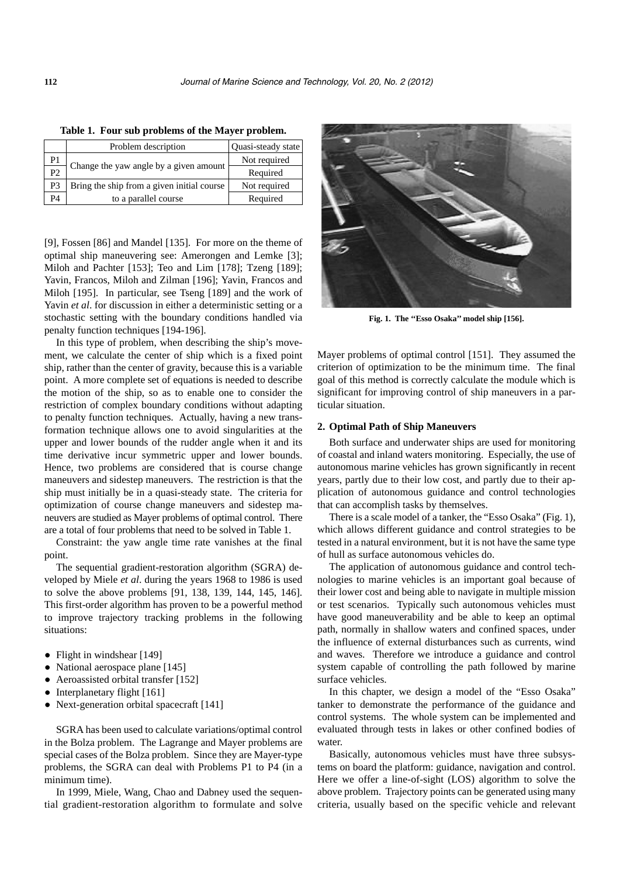|                | Problem description                        | Quasi-steady state |
|----------------|--------------------------------------------|--------------------|
| P1             |                                            | Not required       |
| P <sub>2</sub> | Change the yaw angle by a given amount     | Required           |
| P3             | Bring the ship from a given initial course | Not required       |
| P4             | to a parallel course                       | Required           |

**Table 1. Four sub problems of the Mayer problem.** 

[9], Fossen [86] and Mandel [135]. For more on the theme of optimal ship maneuvering see: Amerongen and Lemke [3]; Miloh and Pachter [153]; Teo and Lim [178]; Tzeng [189]; Yavin, Francos, Miloh and Zilman [196]; Yavin, Francos and Miloh [195]. In particular, see Tseng [189] and the work of Yavin *et al*. for discussion in either a deterministic setting or a stochastic setting with the boundary conditions handled via penalty function techniques [194-196].

In this type of problem, when describing the ship's movement, we calculate the center of ship which is a fixed point ship, rather than the center of gravity, because this is a variable point. A more complete set of equations is needed to describe the motion of the ship, so as to enable one to consider the restriction of complex boundary conditions without adapting to penalty function techniques. Actually, having a new transformation technique allows one to avoid singularities at the upper and lower bounds of the rudder angle when it and its time derivative incur symmetric upper and lower bounds. Hence, two problems are considered that is course change maneuvers and sidestep maneuvers. The restriction is that the ship must initially be in a quasi-steady state. The criteria for optimization of course change maneuvers and sidestep maneuvers are studied as Mayer problems of optimal control. There are a total of four problems that need to be solved in Table 1.

Constraint: the yaw angle time rate vanishes at the final point.

The sequential gradient-restoration algorithm (SGRA) developed by Miele *et al*. during the years 1968 to 1986 is used to solve the above problems [91, 138, 139, 144, 145, 146]. This first-order algorithm has proven to be a powerful method to improve trajectory tracking problems in the following situations:

- Flight in windshear [149]
- National aerospace plane [145]
- Aeroassisted orbital transfer [152]
- Interplanetary flight [161]
- Next-generation orbital spacecraft [141]

SGRA has been used to calculate variations/optimal control in the Bolza problem. The Lagrange and Mayer problems are special cases of the Bolza problem. Since they are Mayer-type problems, the SGRA can deal with Problems P1 to P4 (in a minimum time).

In 1999, Miele, Wang, Chao and Dabney used the sequential gradient-restoration algorithm to formulate and solve



**Fig. 1. The ''Esso Osaka'' model ship [156].** 

Mayer problems of optimal control [151]. They assumed the criterion of optimization to be the minimum time. The final goal of this method is correctly calculate the module which is significant for improving control of ship maneuvers in a particular situation.

#### **2. Optimal Path of Ship Maneuvers**

Both surface and underwater ships are used for monitoring of coastal and inland waters monitoring. Especially, the use of autonomous marine vehicles has grown significantly in recent years, partly due to their low cost, and partly due to their application of autonomous guidance and control technologies that can accomplish tasks by themselves.

There is a scale model of a tanker, the "Esso Osaka" (Fig. 1), which allows different guidance and control strategies to be tested in a natural environment, but it is not have the same type of hull as surface autonomous vehicles do.

The application of autonomous guidance and control technologies to marine vehicles is an important goal because of their lower cost and being able to navigate in multiple mission or test scenarios. Typically such autonomous vehicles must have good maneuverability and be able to keep an optimal path, normally in shallow waters and confined spaces, under the influence of external disturbances such as currents, wind and waves. Therefore we introduce a guidance and control system capable of controlling the path followed by marine surface vehicles.

In this chapter, we design a model of the "Esso Osaka" tanker to demonstrate the performance of the guidance and control systems. The whole system can be implemented and evaluated through tests in lakes or other confined bodies of water.

Basically, autonomous vehicles must have three subsystems on board the platform: guidance, navigation and control. Here we offer a line-of-sight (LOS) algorithm to solve the above problem. Trajectory points can be generated using many criteria, usually based on the specific vehicle and relevant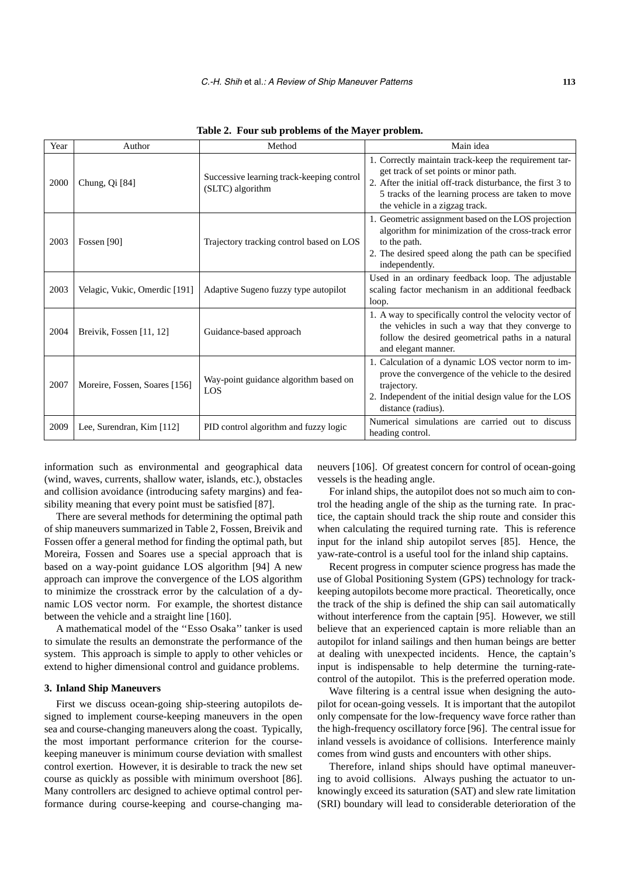| Year | Author                        | Method                                                        | Main idea                                                                                                                                                                                                                                             |  |  |  |
|------|-------------------------------|---------------------------------------------------------------|-------------------------------------------------------------------------------------------------------------------------------------------------------------------------------------------------------------------------------------------------------|--|--|--|
| 2000 | Chung, Qi <sup>[84]</sup>     | Successive learning track-keeping control<br>(SLTC) algorithm | 1. Correctly maintain track-keep the requirement tar-<br>get track of set points or minor path.<br>2. After the initial off-track disturbance, the first 3 to<br>5 tracks of the learning process are taken to move<br>the vehicle in a zigzag track. |  |  |  |
| 2003 | Fossen [90]                   | Trajectory tracking control based on LOS                      | 1. Geometric assignment based on the LOS projection<br>algorithm for minimization of the cross-track error<br>to the path.<br>2. The desired speed along the path can be specified<br>independently.                                                  |  |  |  |
| 2003 | Velagic, Vukic, Omerdic [191] | Adaptive Sugeno fuzzy type autopilot                          | Used in an ordinary feedback loop. The adjustable<br>scaling factor mechanism in an additional feedback<br>loop.                                                                                                                                      |  |  |  |
| 2004 | Breivik, Fossen [11, 12]      | Guidance-based approach                                       | 1. A way to specifically control the velocity vector of<br>the vehicles in such a way that they converge to<br>follow the desired geometrical paths in a natural<br>and elegant manner.                                                               |  |  |  |
| 2007 | Moreire, Fossen, Soares [156] | Way-point guidance algorithm based on<br>LOS                  | 1. Calculation of a dynamic LOS vector norm to im-<br>prove the convergence of the vehicle to the desired<br>trajectory.<br>2. Independent of the initial design value for the LOS<br>distance (radius).                                              |  |  |  |
| 2009 | Lee, Surendran, Kim [112]     | PID control algorithm and fuzzy logic                         | Numerical simulations are carried out to discuss<br>heading control.                                                                                                                                                                                  |  |  |  |

**Table 2. Four sub problems of the Mayer problem.** 

information such as environmental and geographical data (wind, waves, currents, shallow water, islands, etc.), obstacles and collision avoidance (introducing safety margins) and feasibility meaning that every point must be satisfied [87].

There are several methods for determining the optimal path of ship maneuvers summarized in Table 2, Fossen, Breivik and Fossen offer a general method for finding the optimal path, but Moreira, Fossen and Soares use a special approach that is based on a way-point guidance LOS algorithm [94] A new approach can improve the convergence of the LOS algorithm to minimize the crosstrack error by the calculation of a dynamic LOS vector norm. For example, the shortest distance between the vehicle and a straight line [160].

A mathematical model of the ''Esso Osaka'' tanker is used to simulate the results an demonstrate the performance of the system. This approach is simple to apply to other vehicles or extend to higher dimensional control and guidance problems.

#### **3. Inland Ship Maneuvers**

First we discuss ocean-going ship-steering autopilots designed to implement course-keeping maneuvers in the open sea and course-changing maneuvers along the coast. Typically, the most important performance criterion for the coursekeeping maneuver is minimum course deviation with smallest control exertion. However, it is desirable to track the new set course as quickly as possible with minimum overshoot [86]. Many controllers arc designed to achieve optimal control performance during course-keeping and course-changing maneuvers [106]. Of greatest concern for control of ocean-going vessels is the heading angle.

For inland ships, the autopilot does not so much aim to control the heading angle of the ship as the turning rate. In practice, the captain should track the ship route and consider this when calculating the required turning rate. This is reference input for the inland ship autopilot serves [85]. Hence, the yaw-rate-control is a useful tool for the inland ship captains.

Recent progress in computer science progress has made the use of Global Positioning System (GPS) technology for trackkeeping autopilots become more practical. Theoretically, once the track of the ship is defined the ship can sail automatically without interference from the captain [95]. However, we still believe that an experienced captain is more reliable than an autopilot for inland sailings and then human beings are better at dealing with unexpected incidents. Hence, the captain's input is indispensable to help determine the turning-ratecontrol of the autopilot. This is the preferred operation mode.

Wave filtering is a central issue when designing the autopilot for ocean-going vessels. It is important that the autopilot only compensate for the low-frequency wave force rather than the high-frequency oscillatory force [96]. The central issue for inland vessels is avoidance of collisions. Interference mainly comes from wind gusts and encounters with other ships.

Therefore, inland ships should have optimal maneuvering to avoid collisions. Always pushing the actuator to unknowingly exceed its saturation (SAT) and slew rate limitation (SRI) boundary will lead to considerable deterioration of the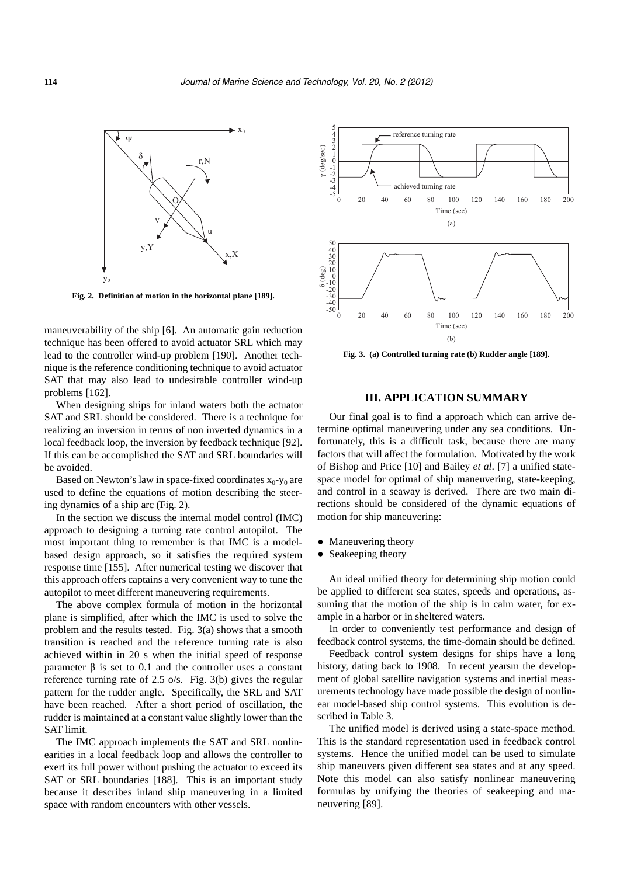

**Fig. 2. Definition of motion in the horizontal plane [189].** 

maneuverability of the ship [6]. An automatic gain reduction technique has been offered to avoid actuator SRL which may lead to the controller wind-up problem [190]. Another technique is the reference conditioning technique to avoid actuator SAT that may also lead to undesirable controller wind-up problems [162].

When designing ships for inland waters both the actuator SAT and SRL should be considered. There is a technique for realizing an inversion in terms of non inverted dynamics in a local feedback loop, the inversion by feedback technique [92]. If this can be accomplished the SAT and SRL boundaries will be avoided.

Based on Newton's law in space-fixed coordinates  $x_0 - y_0$  are used to define the equations of motion describing the steering dynamics of a ship arc (Fig. 2).

In the section we discuss the internal model control (IMC) approach to designing a turning rate control autopilot. The most important thing to remember is that IMC is a modelbased design approach, so it satisfies the required system response time [155]. After numerical testing we discover that this approach offers captains a very convenient way to tune the autopilot to meet different maneuvering requirements.

The above complex formula of motion in the horizontal plane is simplified, after which the IMC is used to solve the problem and the results tested. Fig. 3(a) shows that a smooth transition is reached and the reference turning rate is also achieved within in 20 s when the initial speed of response parameter β is set to 0.1 and the controller uses a constant reference turning rate of 2.5 o/s. Fig. 3(b) gives the regular pattern for the rudder angle. Specifically, the SRL and SAT have been reached. After a short period of oscillation, the rudder is maintained at a constant value slightly lower than the SAT limit.

The IMC approach implements the SAT and SRL nonlinearities in a local feedback loop and allows the controller to exert its full power without pushing the actuator to exceed its SAT or SRL boundaries [188]. This is an important study because it describes inland ship maneuvering in a limited space with random encounters with other vessels.



**Fig. 3. (a) Controlled turning rate (b) Rudder angle [189].** 

#### **III. APPLICATION SUMMARY**

Our final goal is to find a approach which can arrive determine optimal maneuvering under any sea conditions. Unfortunately, this is a difficult task, because there are many factors that will affect the formulation. Motivated by the work of Bishop and Price [10] and Bailey *et al*. [7] a unified statespace model for optimal of ship maneuvering, state-keeping, and control in a seaway is derived. There are two main directions should be considered of the dynamic equations of motion for ship maneuvering:

- Maneuvering theory
- Seakeeping theory

An ideal unified theory for determining ship motion could be applied to different sea states, speeds and operations, assuming that the motion of the ship is in calm water, for example in a harbor or in sheltered waters.

In order to conveniently test performance and design of feedback control systems, the time-domain should be defined.

Feedback control system designs for ships have a long history, dating back to 1908. In recent yearsm the development of global satellite navigation systems and inertial measurements technology have made possible the design of nonlinear model-based ship control systems. This evolution is described in Table 3.

The unified model is derived using a state-space method. This is the standard representation used in feedback control systems. Hence the unified model can be used to simulate ship maneuvers given different sea states and at any speed. Note this model can also satisfy nonlinear maneuvering formulas by unifying the theories of seakeeping and maneuvering [89].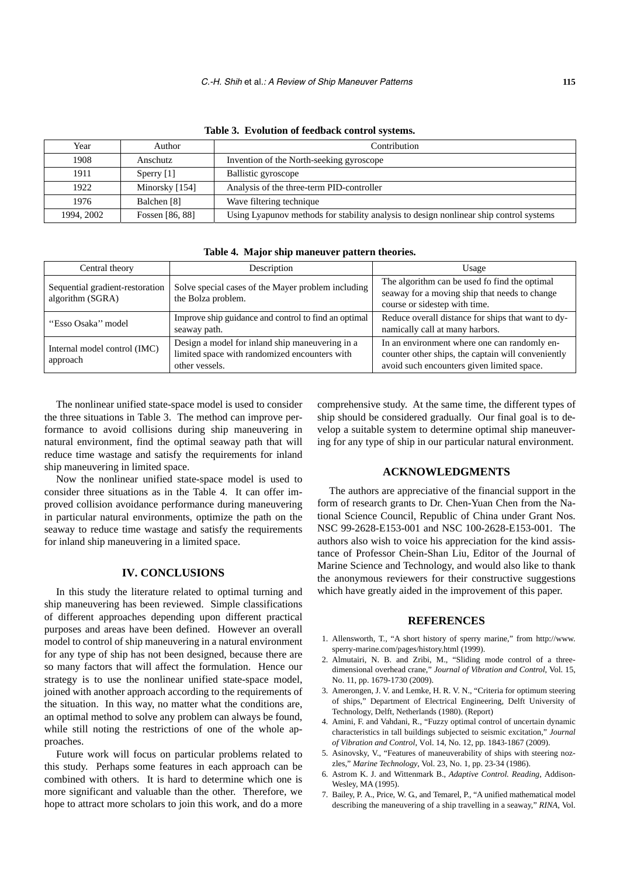| Year       | Author          | Contribution                                                                           |
|------------|-----------------|----------------------------------------------------------------------------------------|
| 1908       | Anschutz        | Invention of the North-seeking gyroscope                                               |
| 1911       | Sperry $[1]$    | Ballistic gyroscope                                                                    |
| 1922       | Minorsky [154]  | Analysis of the three-term PID-controller                                              |
| 1976       | Balchen [8]     | Wave filtering technique                                                               |
| 1994, 2002 | Fossen [86, 88] | Using Lyapunov methods for stability analysis to design nonlinear ship control systems |

**Table 3. Evolution of feedback control systems.** 

**Table 4. Major ship maneuver pattern theories.** 

| Central theory                                      | Description                                                                                                        | Usage                                                                                                                                            |
|-----------------------------------------------------|--------------------------------------------------------------------------------------------------------------------|--------------------------------------------------------------------------------------------------------------------------------------------------|
| Sequential gradient-restoration<br>algorithm (SGRA) | Solve special cases of the Mayer problem including<br>the Bolza problem.                                           | The algorithm can be used fo find the optimal<br>seaway for a moving ship that needs to change<br>course or sidestep with time.                  |
| "Esso Osaka" model                                  | Improve ship guidance and control to find an optimal<br>seaway path.                                               | Reduce overall distance for ships that want to dy-<br>namically call at many harbors.                                                            |
| Internal model control (IMC)<br>approach            | Design a model for inland ship maneuvering in a<br>limited space with randomized encounters with<br>other vessels. | In an environment where one can randomly en-<br>counter other ships, the captain will conveniently<br>avoid such encounters given limited space. |

The nonlinear unified state-space model is used to consider the three situations in Table 3. The method can improve performance to avoid collisions during ship maneuvering in natural environment, find the optimal seaway path that will reduce time wastage and satisfy the requirements for inland ship maneuvering in limited space.

Now the nonlinear unified state-space model is used to consider three situations as in the Table 4. It can offer improved collision avoidance performance during maneuvering in particular natural environments, optimize the path on the seaway to reduce time wastage and satisfy the requirements for inland ship maneuvering in a limited space.

#### **IV. CONCLUSIONS**

In this study the literature related to optimal turning and ship maneuvering has been reviewed. Simple classifications of different approaches depending upon different practical purposes and areas have been defined. However an overall model to control of ship maneuvering in a natural environment for any type of ship has not been designed, because there are so many factors that will affect the formulation. Hence our strategy is to use the nonlinear unified state-space model, joined with another approach according to the requirements of the situation. In this way, no matter what the conditions are, an optimal method to solve any problem can always be found, while still noting the restrictions of one of the whole approaches.

Future work will focus on particular problems related to this study. Perhaps some features in each approach can be combined with others. It is hard to determine which one is more significant and valuable than the other. Therefore, we hope to attract more scholars to join this work, and do a more comprehensive study. At the same time, the different types of ship should be considered gradually. Our final goal is to develop a suitable system to determine optimal ship maneuvering for any type of ship in our particular natural environment.

#### **ACKNOWLEDGMENTS**

The authors are appreciative of the financial support in the form of research grants to Dr. Chen-Yuan Chen from the National Science Council, Republic of China under Grant Nos. NSC 99-2628-E153-001 and NSC 100-2628-E153-001. The authors also wish to voice his appreciation for the kind assistance of Professor Chein-Shan Liu, Editor of the Journal of Marine Science and Technology, and would also like to thank the anonymous reviewers for their constructive suggestions which have greatly aided in the improvement of this paper.

#### **REFERENCES**

- 1. Allensworth, T., "A short history of sperry marine," from http://www. sperry-marine.com/pages/history.html (1999).
- 2. Almutairi, N. B. and Zribi, M., "Sliding mode control of a threedimensional overhead crane," *Journal of Vibration and Control*, Vol. 15, No. 11, pp. 1679-1730 (2009).
- 3. Amerongen, J. V. and Lemke, H. R. V. N., "Criteria for optimum steering of ships," Department of Electrical Engineering, Delft University of Technology, Delft, Netherlands (1980). (Report)
- 4. Amini, F. and Vahdani, R., "Fuzzy optimal control of uncertain dynamic characteristics in tall buildings subjected to seismic excitation," *Journal of Vibration and Control*, Vol. 14, No. 12, pp. 1843-1867 (2009).
- 5. Asinovsky, V., "Features of maneuverability of ships with steering nozzles," *Marine Technology*, Vol. 23, No. 1, pp. 23-34 (1986).
- 6. Astrom K. J. and Wittenmark B., *Adaptive Control. Reading*, Addison-Wesley, MA (1995).
- 7. Bailey, P. A., Price, W. G., and Temarel, P., "A unified mathematical model describing the maneuvering of a ship travelling in a seaway," *RINA*, Vol.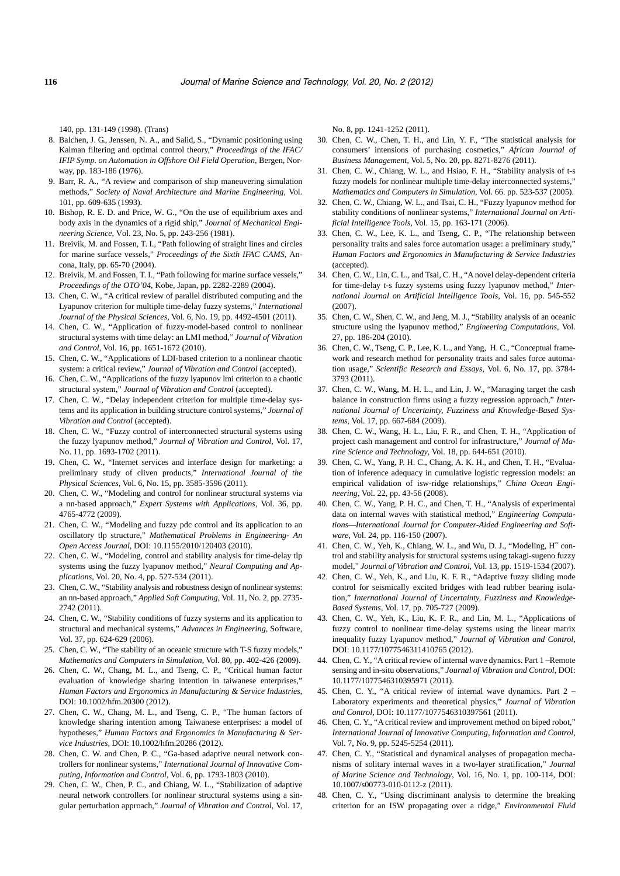140, pp. 131-149 (1998). (Trans)

- 8. Balchen, J. G., Jenssen, N. A., and Salid, S., "Dynamic positioning using Kalman filtering and optimal control theory," *Proceedings of the IFAC/ IFIP Symp. on Automation in Offshore Oil Field Operation*, Bergen, Norway, pp. 183-186 (1976).
- 9. Barr, R. A., "A review and comparison of ship maneuvering simulation methods," *Society of Naval Architecture and Marine Engineering*, Vol. 101, pp. 609-635 (1993).
- 10. Bishop, R. E. D. and Price, W. G., "On the use of equilibrium axes and body axis in the dynamics of a rigid ship," *Journal of Mechanical Engineering Science*, Vol. 23, No. 5, pp. 243-256 (1981).
- 11. Breivik, M. and Fossen, T. I., "Path following of straight lines and circles for marine surface vessels," *Proceedings of the Sixth IFAC CAMS*, Ancona, Italy, pp. 65-70 (2004).
- 12. Breivik, M. and Fossen, T. I., "Path following for marine surface vessels," *Proceedings of the OTO'04*, Kobe, Japan, pp. 2282-2289 (2004).
- 13. Chen, C. W., "A critical review of parallel distributed computing and the Lyapunov criterion for multiple time-delay fuzzy systems," *International Journal of the Physical Sciences*, Vol. 6, No. 19, pp. 4492-4501 (2011).
- 14. Chen, C. W., "Application of fuzzy-model-based control to nonlinear structural systems with time delay: an LMI method," *Journal of Vibration and Control*, Vol. 16, pp. 1651-1672 (2010).
- 15. Chen, C. W., "Applications of LDI-based criterion to a nonlinear chaotic system: a critical review," *Journal of Vibration and Control* (accepted).
- 16. Chen, C. W., "Applications of the fuzzy lyapunov lmi criterion to a chaotic structural system," *Journal of Vibration and Control* (accepted).
- 17. Chen, C. W., "Delay independent criterion for multiple time-delay systems and its application in building structure control systems," *Journal of Vibration and Control* (accepted).
- 18. Chen, C. W., "Fuzzy control of interconnected structural systems using the fuzzy lyapunov method," *Journal of Vibration and Control*, Vol. 17, No. 11, pp. 1693-1702 (2011).
- 19. Chen, C. W., "Internet services and interface design for marketing: a preliminary study of cliven products," *International Journal of the Physical Sciences*, Vol. 6, No. 15, pp. 3585-3596 (2011).
- 20. Chen, C. W., "Modeling and control for nonlinear structural systems via a nn-based approach," *Expert Systems with Applications*, Vol. 36, pp. 4765-4772 (2009).
- 21. Chen, C. W., "Modeling and fuzzy pdc control and its application to an oscillatory tlp structure," *Mathematical Problems in Engineering- An Open Access Journal*, DOI: 10.1155/2010/120403 (2010).
- 22. Chen, C. W., "Modeling, control and stability analysis for time-delay tlp systems using the fuzzy lyapunov method," *Neural Computing and Applications*, Vol. 20, No. 4, pp. 527-534 (2011).
- 23. Chen, C. W., "Stability analysis and robustness design of nonlinear systems: an nn-based approach," *Applied Soft Computing*, Vol. 11, No. 2, pp. 2735- 2742 (2011).
- 24. Chen, C. W., "Stability conditions of fuzzy systems and its application to structural and mechanical systems," *Advances in Engineering*, Software, Vol. 37, pp. 624-629 (2006).
- 25. Chen, C. W., "The stability of an oceanic structure with T-S fuzzy models," *Mathematics and Computers in Simulation*, Vol. 80, pp. 402-426 (2009).
- 26. Chen, C. W., Chang, M. L., and Tseng, C. P., "Critical human factor evaluation of knowledge sharing intention in taiwanese enterprises," *Human Factors and Ergonomics in Manufacturing & Service Industries*, DOI: 10.1002/hfm.20300 (2012).
- 27. Chen, C. W., Chang, M. L., and Tseng, C. P., "The human factors of knowledge sharing intention among Taiwanese enterprises: a model of hypotheses," *Human Factors and Ergonomics in Manufacturing & Service Industries*, DOI: 10.1002/hfm.20286 (2012).
- 28. Chen, C. W. and Chen, P. C., "Ga-based adaptive neural network controllers for nonlinear systems," *International Journal of Innovative Computing, Information and Control*, Vol. 6, pp. 1793-1803 (2010).
- 29. Chen, C. W., Chen, P. C., and Chiang, W. L., "Stabilization of adaptive neural network controllers for nonlinear structural systems using a singular perturbation approach," *Journal of Vibration and Control*, Vol. 17,

No. 8, pp. 1241-1252 (2011).

- 30. Chen, C. W., Chen, T. H., and Lin, Y. F., "The statistical analysis for consumers' intensions of purchasing cosmetics," *African Journal of Business Management*, Vol. 5, No. 20, pp. 8271-8276 (2011).
- 31. Chen, C. W., Chiang, W. L., and Hsiao, F. H., "Stability analysis of t-s fuzzy models for nonlinear multiple time-delay interconnected systems,' *Mathematics and Computers in Simulation*, Vol. 66. pp. 523-537 (2005).
- 32. Chen, C. W., Chiang, W. L., and Tsai, C. H., "Fuzzy lyapunov method for stability conditions of nonlinear systems," *International Journal on Artificial Intelligence Tools*, Vol. 15, pp. 163-171 (2006).
- 33. Chen, C. W., Lee, K. L., and Tseng, C. P., "The relationship between personality traits and sales force automation usage: a preliminary study," *Human Factors and Ergonomics in Manufacturing & Service Industries* (accepted).
- 34. Chen, C. W., Lin, C. L., and Tsai, C. H., "A novel delay-dependent criteria for time-delay t-s fuzzy systems using fuzzy lyapunov method," *International Journal on Artificial Intelligence Tools*, Vol. 16, pp. 545-552 (2007).
- 35. Chen, C. W., Shen, C. W., and Jeng, M. J., "Stability analysis of an oceanic structure using the lyapunov method," *Engineering Computations*, Vol. 27, pp. 186-204 (2010).
- 36. Chen, C. W., Tseng, C. P., Lee, K. L., and Yang, H. C., "Conceptual framework and research method for personality traits and sales force automation usage," *Scientific Research and Essays*, Vol. 6, No. 17, pp. 3784- 3793 (2011).
- 37. Chen, C. W., Wang, M. H. L., and Lin, J. W., "Managing target the cash balance in construction firms using a fuzzy regression approach," *International Journal of Uncertainty, Fuzziness and Knowledge-Based Systems*, Vol. 17, pp. 667-684 (2009).
- 38. Chen, C. W., Wang, H. L., Liu, F. R., and Chen, T. H., "Application of project cash management and control for infrastructure," *Journal of Marine Science and Technology*, Vol. 18, pp. 644-651 (2010).
- 39. Chen, C. W., Yang, P. H. C., Chang, A. K. H., and Chen, T. H., "Evaluation of inference adequacy in cumulative logistic regression models: an empirical validation of isw-ridge relationships," *China Ocean Engineering*, Vol. 22, pp. 43-56 (2008).
- 40. Chen, C. W., Yang, P. H. C., and Chen, T. H., "Analysis of experimental data on internal waves with statistical method," *Engineering Computations—International Journal for Computer-Aided Engineering and Software*, Vol. 24, pp. 116-150 (2007).
- 41. Chen, C. W., Yeh, K., Chiang, W. L., and Wu, D. J., "Modeling, H<sup>®</sup> control and stability analysis for structural systems using takagi-sugeno fuzzy model," *Journal of Vibration and Control*, Vol. 13, pp. 1519-1534 (2007).
- 42. Chen, C. W., Yeh, K., and Liu, K. F. R., "Adaptive fuzzy sliding mode control for seismically excited bridges with lead rubber bearing isolation," *International Journal of Uncertainty, Fuzziness and Knowledge-Based Systems*, Vol. 17, pp. 705-727 (2009).
- 43. Chen, C. W., Yeh, K., Liu, K. F. R., and Lin, M. L., "Applications of fuzzy control to nonlinear time-delay systems using the linear matrix inequality fuzzy Lyapunov method," *Journal of Vibration and Control*, DOI: 10.1177/1077546311410765 (2012).
- 44. Chen, C. Y., "A critical review of internal wave dynamics. Part 1 –Remote sensing and in-situ observations," *Journal of Vibration and Control*, DOI: 10.1177/1077546310395971 (2011).
- 45. Chen, C. Y., "A critical review of internal wave dynamics. Part 2 Laboratory experiments and theoretical physics," *Journal of Vibration and Control*, DOI: 10.1177/1077546310397561 (2011).
- 46. Chen, C. Y., "A critical review and improvement method on biped robot," *International Journal of Innovative Computing, Information and Control*, Vol. 7, No. 9, pp. 5245-5254 (2011).
- 47. Chen, C. Y., "Statistical and dynamical analyses of propagation mechanisms of solitary internal waves in a two-layer stratification," *Journal of Marine Science and Technology*, Vol. 16, No. 1, pp. 100-114, DOI: 10.1007/s00773-010-0112-z (2011).
- 48. Chen, C. Y., "Using discriminant analysis to determine the breaking criterion for an ISW propagating over a ridge," *Environmental Fluid*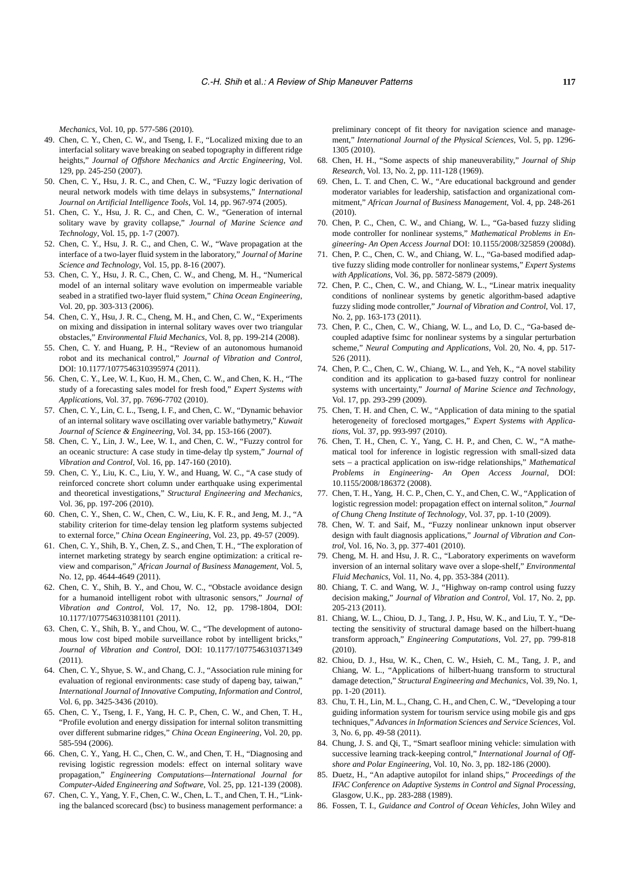*Mechanics*, Vol. 10, pp. 577-586 (2010).

- 49. Chen, C. Y., Chen, C. W., and Tseng, I. F., "Localized mixing due to an interfacial solitary wave breaking on seabed topography in different ridge heights," *Journal of Offshore Mechanics and Arctic Engineering*, Vol. 129, pp. 245-250 (2007).
- 50. Chen, C. Y., Hsu, J. R. C., and Chen, C. W., "Fuzzy logic derivation of neural network models with time delays in subsystems," *International Journal on Artificial Intelligence Tools*, Vol. 14, pp. 967-974 (2005).
- 51. Chen, C. Y., Hsu, J. R. C., and Chen, C. W., "Generation of internal solitary wave by gravity collapse," *Journal of Marine Science and Technology*, Vol. 15, pp. 1-7 (2007).
- 52. Chen, C. Y., Hsu, J. R. C., and Chen, C. W., "Wave propagation at the interface of a two-layer fluid system in the laboratory," *Journal of Marine Science and Technology*, Vol. 15, pp. 8-16 (2007).
- 53. Chen, C. Y., Hsu, J. R. C., Chen, C. W., and Cheng, M. H., "Numerical model of an internal solitary wave evolution on impermeable variable seabed in a stratified two-layer fluid system," *China Ocean Engineering*, Vol. 20, pp. 303-313 (2006).
- 54. Chen, C. Y., Hsu, J. R. C., Cheng, M. H., and Chen, C. W., "Experiments on mixing and dissipation in internal solitary waves over two triangular obstacles," *Environmental Fluid Mechanics*, Vol. 8, pp. 199-214 (2008).
- 55. Chen, C. Y. and Huang, P. H., "Review of an autonomous humanoid robot and its mechanical control," *Journal of Vibration and Control*, DOI: 10.1177/1077546310395974 (2011).
- 56. Chen, C. Y., Lee, W. I., Kuo, H. M., Chen, C. W., and Chen, K. H., "The study of a forecasting sales model for fresh food," *Expert Systems with Application*s, Vol. 37, pp. 7696-7702 (2010).
- 57. Chen, C. Y., Lin, C. L., Tseng, I. F., and Chen, C. W., "Dynamic behavior of an internal solitary wave oscillating over variable bathymetry," *Kuwait Journal of Science & Engineering*, Vol. 34, pp. 153-166 (2007).
- 58. Chen, C. Y., Lin, J. W., Lee, W. I., and Chen, C. W., "Fuzzy control for an oceanic structure: A case study in time-delay tlp system," *Journal of Vibration and Control*, Vol. 16, pp. 147-160 (2010).
- 59. Chen, C. Y., Liu, K. C., Liu, Y. W., and Huang, W. C., "A case study of reinforced concrete short column under earthquake using experimental and theoretical investigations," *Structural Engineering and Mechanics*, Vol. 36, pp. 197-206 (2010).
- 60. Chen, C. Y., Shen, C. W., Chen, C. W., Liu, K. F. R., and Jeng, M. J., "A stability criterion for time-delay tension leg platform systems subjected to external force," *China Ocean Engineering*, Vol. 23, pp. 49-57 (2009).
- 61. Chen, C. Y., Shih, B. Y., Chen, Z. S., and Chen, T. H., "The exploration of internet marketing strategy by search engine optimization: a critical review and comparison," *African Journal of Business Management*, Vol. 5, No. 12, pp. 4644-4649 (2011).
- 62. Chen, C. Y., Shih, B. Y., and Chou, W. C., "Obstacle avoidance design for a humanoid intelligent robot with ultrasonic sensors," *Journal of Vibration and Control*, Vol. 17, No. 12, pp. 1798-1804, DOI: 10.1177/1077546310381101 (2011).
- 63. Chen, C. Y., Shih, B. Y., and Chou, W. C., "The development of autonomous low cost biped mobile surveillance robot by intelligent bricks," *Journal of Vibration and Control*, DOI: 10.1177/1077546310371349 (2011).
- 64. Chen, C. Y., Shyue, S. W., and Chang, C. J., "Association rule mining for evaluation of regional environments: case study of dapeng bay, taiwan," *International Journal of Innovative Computing, Information and Control*, Vol. 6, pp. 3425-3436 (2010).
- 65. Chen, C. Y., Tseng, I. F., Yang, H. C. P., Chen, C. W., and Chen, T. H., "Profile evolution and energy dissipation for internal soliton transmitting over different submarine ridges," *China Ocean Engineering*, Vol. 20, pp. 585-594 (2006).
- 66. Chen, C. Y., Yang, H. C., Chen, C. W., and Chen, T. H., "Diagnosing and revising logistic regression models: effect on internal solitary wave propagation," *Engineering Computations—International Journal for Computer-Aided Engineering and Software*, Vol. 25, pp. 121-139 (2008).
- 67. Chen, C. Y., Yang, Y. F., Chen, C. W., Chen, L. T., and Chen, T. H., "Linking the balanced scorecard (bsc) to business management performance: a

preliminary concept of fit theory for navigation science and management," *International Journal of the Physical Sciences*, Vol. 5, pp. 1296- 1305 (2010).

- 68. Chen, H. H., "Some aspects of ship maneuverability," *Journal of Ship Research*, Vol. 13, No. 2, pp. 111-128 (1969).
- 69. Chen, L. T. and Chen, C. W., "Are educational background and gender moderator variables for leadership, satisfaction and organizational commitment," *African Journal of Business Management*, Vol. 4, pp. 248-261 (2010).
- 70. Chen, P. C., Chen, C. W., and Chiang, W. L., "Ga-based fuzzy sliding mode controller for nonlinear systems," *Mathematical Problems in Engineering- An Open Access Journal* DOI: 10.1155/2008/325859 (2008d).
- 71. Chen, P. C., Chen, C. W., and Chiang, W. L., "Ga-based modified adaptive fuzzy sliding mode controller for nonlinear systems," *Expert Systems with Applications*, Vol. 36, pp. 5872-5879 (2009).
- 72. Chen, P. C., Chen, C. W., and Chiang, W. L., "Linear matrix inequality conditions of nonlinear systems by genetic algorithm-based adaptive fuzzy sliding mode controller," *Journal of Vibration and Control*, Vol. 17, No. 2, pp. 163-173 (2011).
- 73. Chen, P. C., Chen, C. W., Chiang, W. L., and Lo, D. C., "Ga-based decoupled adaptive fsimc for nonlinear systems by a singular perturbation scheme," *Neural Computing and Applications*, Vol. 20, No. 4, pp. 517- 526 (2011).
- 74. Chen, P. C., Chen, C. W., Chiang, W. L., and Yeh, K., "A novel stability condition and its application to ga-based fuzzy control for nonlinear systems with uncertainty," *Journal of Marine Science and Technology*, Vol. 17, pp. 293-299 (2009).
- 75. Chen, T. H. and Chen, C. W., "Application of data mining to the spatial heterogeneity of foreclosed mortgages," *Expert Systems with Applications*, Vol. 37, pp. 993-997 (2010).
- 76. Chen, T. H., Chen, C. Y., Yang, C. H. P., and Chen, C. W., "A mathematical tool for inference in logistic regression with small-sized data sets – a practical application on isw-ridge relationships," *Mathematical Problems in Engineering- An Open Access Journal*, DOI: 10.1155/2008/186372 (2008).
- 77. Chen, T. H., Yang, H. C. P., Chen, C. Y., and Chen, C. W., "Application of logistic regression model: propagation effect on internal soliton," *Journal of Chung Cheng Institute of Technology*, Vol. 37, pp. 1-10 (2009).
- 78. Chen, W. T. and Saif, M., "Fuzzy nonlinear unknown input observer design with fault diagnosis applications," *Journal of Vibration and Control*, Vol. 16, No. 3, pp. 377-401 (2010).
- 79. Cheng, M. H. and Hsu, J. R. C., "Laboratory experiments on waveform inversion of an internal solitary wave over a slope-shelf," *Environmental Fluid Mechanics*, Vol. 11, No. 4, pp. 353-384 (2011).
- 80. Chiang, T. C. and Wang, W. J., "Highway on-ramp control using fuzzy decision making," *Journal of Vibration and Control*, Vol. 17, No. 2, pp. 205-213 (2011).
- 81. Chiang, W. L., Chiou, D. J., Tang, J. P., Hsu, W. K., and Liu, T. Y., "Detecting the sensitivity of structural damage based on the hilbert-huang transform approach," *Engineering Computations*, Vol. 27, pp. 799-818 (2010).
- 82. Chiou, D. J., Hsu, W. K., Chen, C. W., Hsieh, C. M., Tang, J. P., and Chiang, W. L., "Applications of hilbert-huang transform to structural damage detection," *Structural Engineering and Mechanics*, Vol. 39, No. 1, pp. 1-20 (2011).
- 83. Chu, T. H., Lin, M. L., Chang, C. H., and Chen, C. W., "Developing a tour guiding information system for tourism service using mobile gis and gps techniques," *Advances in Information Sciences and Service Sciences*, Vol. 3, No. 6, pp. 49-58 (2011).
- 84. Chung, J. S. and Qi, T., "Smart seafloor mining vehicle: simulation with successive learning track-keeping control," *International Journal of Offshore and Polar Engineering*, Vol. 10, No. 3, pp. 182-186 (2000).
- 85. Duetz, H., "An adaptive autopilot for inland ships," *Proceedings of the IFAC Conference on Adaptive Systems in Control and Signal Processing*, Glasgow, U.K., pp. 283-288 (1989).
- 86. Fossen, T. I., *Guidance and Control of Ocean Vehicles*, John Wiley and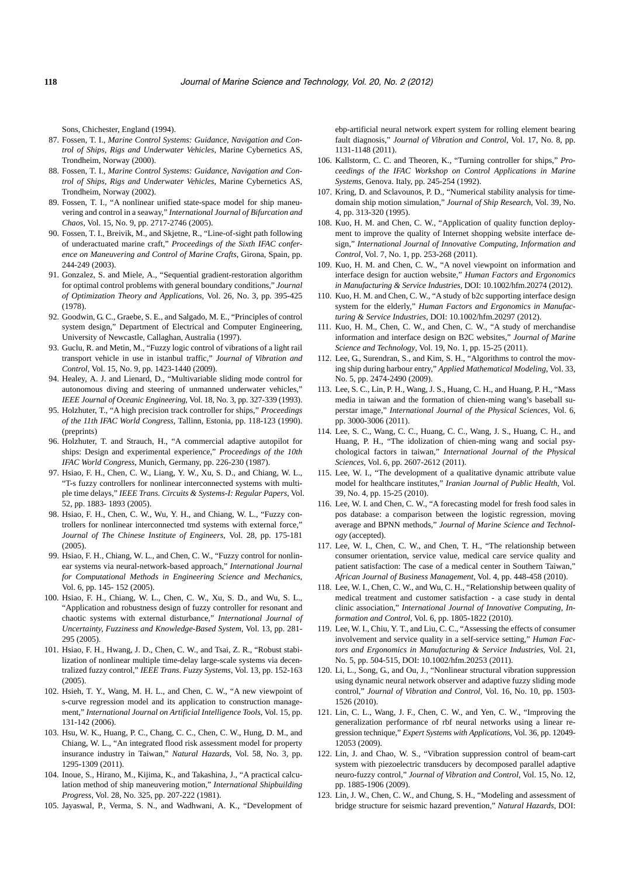Sons, Chichester, England (1994).

- 87. Fossen, T. I., *Marine Control Systems: Guidance, Navigation and Control of Ships, Rigs and Underwater Vehicles*, Marine Cybernetics AS, Trondheim, Norway (2000).
- 88. Fossen, T. I., *Marine Control Systems: Guidance, Navigation and Control of Ships, Rigs and Underwater Vehicles*, Marine Cybernetics AS, Trondheim, Norway (2002).
- 89. Fossen, T. I., "A nonlinear unified state-space model for ship maneuvering and control in a seaway," *International Journal of Bifurcation and Chaos*, Vol. 15, No. 9, pp. 2717-2746 (2005).
- 90. Fossen, T. I., Breivik, M., and Skjetne, R., "Line-of-sight path following of underactuated marine craft," *Proceedings of the Sixth IFAC conference on Maneuvering and Control of Marine Crafts*, Girona, Spain, pp. 244-249 (2003).
- 91. Gonzalez, S. and Miele, A., "Sequential gradient-restoration algorithm for optimal control problems with general boundary conditions," *Journal of Optimization Theory and Applications*, Vol. 26, No. 3, pp. 395-425 (1978).
- 92. Goodwin, G. C., Graebe, S. E., and Salgado, M. E., "Principles of control system design," Department of Electrical and Computer Engineering, University of Newcastle, Callaghan, Australia (1997).
- 93. Guclu, R. and Metin, M., "Fuzzy logic control of vibrations of a light rail transport vehicle in use in istanbul traffic," *Journal of Vibration and Control*, Vol. 15, No. 9, pp. 1423-1440 (2009).
- 94. Healey, A. J. and Lienard, D., "Multivariable sliding mode control for autonomous diving and steering of unmanned underwater vehicles," *IEEE Journal of Oceanic Engineering*, Vol. 18, No. 3, pp. 327-339 (1993).
- 95. Holzhuter, T., "A high precision track controller for ships," *Proceedings of the 11th IFAC World Congress*, Tallinn, Estonia, pp. 118-123 (1990). (preprints)
- 96. Holzhuter, T. and Strauch, H., "A commercial adaptive autopilot for ships: Design and experimental experience," *Proceedings of the 10th IFAC World Congress*, Munich, Germany, pp. 226-230 (1987).
- 97. Hsiao, F. H., Chen, C. W., Liang, Y. W., Xu, S. D., and Chiang, W. L., "T-s fuzzy controllers for nonlinear interconnected systems with multiple time delays," *IEEE Trans. Circuits & Systems-I: Regular Papers*, Vol. 52, pp. 1883- 1893 (2005).
- 98. Hsiao, F. H., Chen, C. W., Wu, Y. H., and Chiang, W. L., "Fuzzy controllers for nonlinear interconnected tmd systems with external force," *Journal of The Chinese Institute of Engineers*, Vol. 28, pp. 175-181  $(2005)$ .
- 99. Hsiao, F. H., Chiang, W. L., and Chen, C. W., "Fuzzy control for nonlinear systems via neural-network-based approach," *International Journal for Computational Methods in Engineering Science and Mechanics*, Vol. 6, pp. 145- 152 (2005).
- 100. Hsiao, F. H., Chiang, W. L., Chen, C. W., Xu, S. D., and Wu, S. L., "Application and robustness design of fuzzy controller for resonant and chaotic systems with external disturbance," *International Journal of Uncertainty, Fuzziness and Knowledge-Based System*, Vol. 13, pp. 281- 295 (2005).
- 101. Hsiao, F. H., Hwang, J. D., Chen, C. W., and Tsai, Z. R., "Robust stabilization of nonlinear multiple time-delay large-scale systems via decentralized fuzzy control," *IEEE Trans. Fuzzy Systems*, Vol. 13, pp. 152-163 (2005).
- 102. Hsieh, T. Y., Wang, M. H. L., and Chen, C. W., "A new viewpoint of s-curve regression model and its application to construction management," *International Journal on Artificial Intelligence Tools*, Vol. 15, pp. 131-142 (2006).
- 103. Hsu, W. K., Huang, P. C., Chang, C. C., Chen, C. W., Hung, D. M., and Chiang, W. L., "An integrated flood risk assessment model for property insurance industry in Taiwan," *Natural Hazards*, Vol. 58, No. 3, pp. 1295-1309 (2011).
- 104. Inoue, S., Hirano, M., Kijima, K., and Takashina, J., "A practical calculation method of ship maneuvering motion," *International Shipbuilding Progress*, Vol. 28, No. 325, pp. 207-222 (1981).
- 105. Jayaswal, P., Verma, S. N., and Wadhwani, A. K., "Development of

ebp-artificial neural network expert system for rolling element bearing fault diagnosis," *Journal of Vibration and Control*, Vol. 17, No. 8, pp. 1131-1148 (2011).

- 106. Kallstorm, C. C. and Theoren, K., "Turning controller for ships," *Proceedings of the IFAC Workshop on Control Applications in Marine Systems*, Genova. Italy, pp. 245-254 (1992).
- 107. Kring, D. and Sclavounos, P. D., "Numerical stability analysis for timedomain ship motion simulation," *Journal of Ship Research*, Vol. 39, No. 4, pp. 313-320 (1995).
- 108. Kuo, H. M. and Chen, C. W., "Application of quality function deployment to improve the quality of Internet shopping website interface design," *International Journal of Innovative Computing, Information and Control*, Vol. 7, No. 1, pp. 253-268 (2011).
- 109. Kuo, H. M. and Chen, C. W., "A novel viewpoint on information and interface design for auction website," *Human Factors and Ergonomics in Manufacturing & Service Industries*, DOI: 10.1002/hfm.20274 (2012).
- 110. Kuo, H. M. and Chen, C. W., "A study of b2c supporting interface design system for the elderly," *Human Factors and Ergonomics in Manufacturing & Service Industries*, DOI: 10.1002/hfm.20297 (2012).
- 111. Kuo, H. M., Chen, C. W., and Chen, C. W., "A study of merchandise information and interface design on B2C websites," *Journal of Marine Science and Technology*, Vol. 19, No. 1, pp. 15-25 (2011).
- 112. Lee, G., Surendran, S., and Kim, S. H., "Algorithms to control the moving ship during harbour entry," *Applied Mathematical Modeling*, Vol. 33, No. 5, pp. 2474-2490 (2009).
- 113. Lee, S. C., Lin, P. H., Wang, J. S., Huang, C. H., and Huang, P. H., "Mass media in taiwan and the formation of chien-ming wang's baseball superstar image," *International Journal of the Physical Sciences*, Vol. 6, pp. 3000-3006 (2011).
- 114. Lee, S. C., Wang, C. C., Huang, C. C., Wang, J. S., Huang, C. H., and Huang, P. H., "The idolization of chien-ming wang and social psychological factors in taiwan," *International Journal of the Physical Sciences*, Vol. 6, pp. 2607-2612 (2011).
- 115. Lee, W. I., "The development of a qualitative dynamic attribute value model for healthcare institutes," *Iranian Journal of Public Health*, Vol. 39, No. 4, pp. 15-25 (2010).
- 116. Lee, W. I. and Chen, C. W., "A forecasting model for fresh food sales in pos database: a comparison between the logistic regression, moving average and BPNN methods," *Journal of Marine Science and Technology* (accepted).
- 117. Lee, W. I., Chen, C. W., and Chen, T. H., "The relationship between consumer orientation, service value, medical care service quality and patient satisfaction: The case of a medical center in Southern Taiwan," *African Journal of Business Management*, Vol. 4, pp. 448-458 (2010).
- 118. Lee, W. I., Chen, C. W., and Wu, C. H., "Relationship between quality of medical treatment and customer satisfaction - a case study in dental clinic association," *International Journal of Innovative Computing, Information and Control*, Vol. 6, pp. 1805-1822 (2010).
- 119. Lee, W. I., Chiu, Y. T., and Liu, C. C., "Assessing the effects of consumer involvement and service quality in a self-service setting," *Human Factors and Ergonomics in Manufacturing & Service Industries*, Vol. 21, No. 5, pp. 504-515, DOI: 10.1002/hfm.20253 (2011).
- 120. Li, L., Song, G., and Ou, J., "Nonlinear structural vibration suppression using dynamic neural network observer and adaptive fuzzy sliding mode control," *Journal of Vibration and Control*, Vol. 16, No. 10, pp. 1503- 1526 (2010).
- 121. Lin, C. L., Wang, J. F., Chen, C. W., and Yen, C. W., "Improving the generalization performance of rbf neural networks using a linear regression technique," *Expert Systems with Applications*, Vol. 36, pp. 12049- 12053 (2009).
- 122. Lin, J. and Chao, W. S., "Vibration suppression control of beam-cart system with piezoelectric transducers by decomposed parallel adaptive neuro-fuzzy control," *Journal of Vibration and Control*, Vol. 15, No. 12, pp. 1885-1906 (2009).
- 123. Lin, J. W., Chen, C. W., and Chung, S. H., "Modeling and assessment of bridge structure for seismic hazard prevention," *Natural Hazards*, DOI: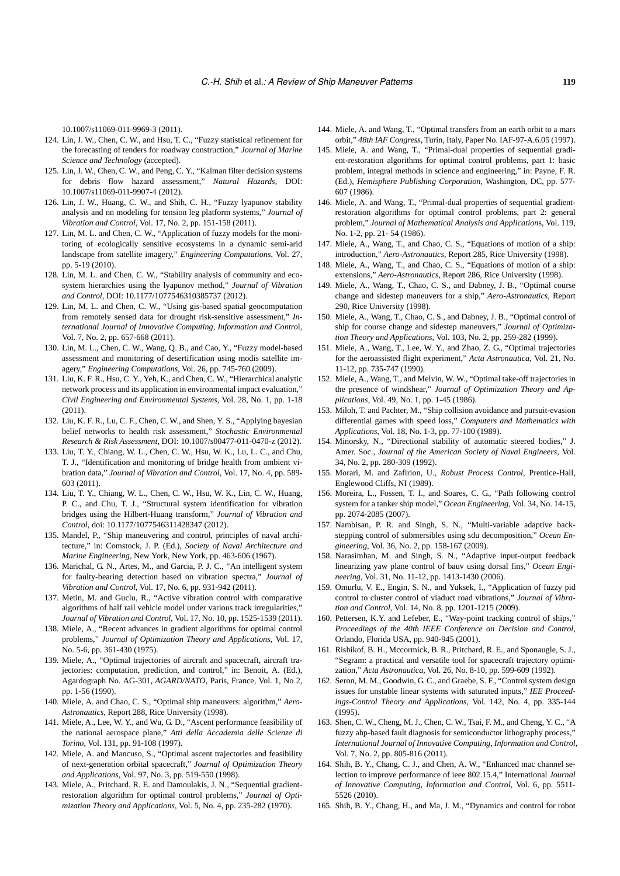10.1007/s11069-011-9969-3 (2011).

- 124. Lin, J. W., Chen, C. W., and Hsu, T. C., "Fuzzy statistical refinement for the forecasting of tenders for roadway construction," *Journal of Marine Science and Technology* (accepted).
- 125. Lin, J. W., Chen, C. W., and Peng, C. Y., "Kalman filter decision systems for debris flow hazard assessment," *Natural Hazards*, DOI: 10.1007/s11069-011-9907-4 (2012).
- 126. Lin, J. W., Huang, C. W., and Shih, C. H., "Fuzzy lyapunov stability analysis and nn modeling for tension leg platform systems," *Journal of Vibration and Control*, Vol. 17, No. 2, pp. 151-158 (2011).
- 127. Lin, M. L. and Chen, C. W., "Application of fuzzy models for the monitoring of ecologically sensitive ecosystems in a dynamic semi-arid landscape from satellite imagery," *Engineering Computations*, Vol. 27, pp. 5-19 (2010).
- 128. Lin, M. L. and Chen, C. W., "Stability analysis of community and ecosystem hierarchies using the lyapunov method," *Journal of Vibration and Control*, DOI: 10.1177/1077546310385737 (2012).
- 129. Lin, M. L. and Chen, C. W., "Using gis-based spatial geocomputation from remotely sensed data for drought risk-sensitive assessment," *International Journal of Innovative Computing, Information and Contro*l, Vol. 7, No. 2, pp. 657-668 (2011).
- 130. Lin, M. L., Chen, C. W., Wang, Q. B., and Cao, Y., "Fuzzy model-based assessment and monitoring of desertification using modis satellite imagery," *Engineering Computations*, Vol. 26, pp. 745-760 (2009).
- 131. Liu, K. F. R., Hsu, C. Y., Yeh, K., and Chen, C. W., "Hierarchical analytic network process and its application in environmental impact evaluation," *Civil Engineering and Environmental Systems*, Vol. 28, No. 1, pp. 1-18 (2011).
- 132. Liu, K. F. R., Lu, C. F., Chen, C. W., and Shen, Y. S., "Applying bayesian belief networks to health risk assessment," *Stochastic Environmental Research & Risk Assessment*, DOI: 10.1007/s00477-011-0470-z (2012).
- 133. Liu, T. Y., Chiang, W. L., Chen, C. W., Hsu, W. K., Lu, L. C., and Chu, T. J., "Identification and monitoring of bridge health from ambient vibration data," *Journal of Vibration and Control*, Vol. 17, No. 4, pp. 589- 603 (2011).
- 134. Liu, T. Y., Chiang, W. L., Chen, C. W., Hsu, W. K., Lin, C. W., Huang, P. C., and Chu, T. J., "Structural system identification for vibration bridges using the Hilbert-Huang transform," *Journal of Vibration and Control*, doi: 10.1177/1077546311428347 (2012).
- 135. Mandel, P., "Ship maneuvering and control, principles of naval architecture," in: Comstock, J. P. (Ed.), *Society of Naval Architecture and Marine Engineering*, New York, New York, pp. 463-606 (1967).
- 136. Marichal, G. N., Artes, M., and Garcia, P. J. C., "An intelligent system for faulty-bearing detection based on vibration spectra," *Journal of Vibration and Control*, Vol. 17, No. 6, pp. 931-942 (2011).
- 137. Metin, M. and Guclu, R., "Active vibration control with comparative algorithms of half rail vehicle model under various track irregularities," *Journal of Vibration and Control*, Vol. 17, No. 10, pp. 1525-1539 (2011).
- 138. Miele, A., "Recent advances in gradient algorithms for optimal control problems," *Journal of Optimization Theory and Applications*, Vol. 17, No. 5-6, pp. 361-430 (1975).
- 139. Miele, A., "Optimal trajectories of aircraft and spacecraft, aircraft trajectories: computation, prediction, and control," in: Benoit, A. (Ed.), Agardograph No. AG-301, *AGARD/NATO*, Paris, France, Vol. 1, No 2, pp. 1-56 (1990).
- 140. Miele, A. and Chao, C. S., "Optimal ship maneuvers: algorithm," *Aero-Astronautics*, Report 288, Rice University (1998).
- 141. Miele, A., Lee, W. Y., and Wu, G. D., "Ascent performance feasibility of the national aerospace plane," *Atti della Accademia delle Scienze di Torino*, Vol. 131, pp. 91-108 (1997).
- 142. Miele, A. and Mancuso, S., "Optimal ascent trajectories and feasibility of next-generation orbital spacecraft," *Journal of Optimization Theory and Applications*, Vol. 97, No. 3, pp. 519-550 (1998).
- 143. Miele, A., Pritchard, R. E. and Damoulakis, J. N., "Sequential gradientrestoration algorithm for optimal control problems," *Journal of Optimization Theory and Applications*, Vol. 5, No. 4, pp. 235-282 (1970).
- 144. Miele, A. and Wang, T., "Optimal transfers from an earth orbit to a mars orbit," *48th IAF Congress*, Turin, Italy, Paper No. IAF-97-A.6.05 (1997).
- 145. Miele, A. and Wang, T., "Primal-dual properties of sequential gradient-restoration algorithms for optimal control problems, part 1: basic problem, integral methods in science and engineering," in: Payne, F. R. (Ed.), *Hemisphere Publishing Corporation*, Washington, DC, pp. 577- 607 (1986).
- 146. Miele, A. and Wang, T., "Primal-dual properties of sequential gradientrestoration algorithms for optimal control problems, part 2: general problem," *Journal of Mathematical Analysis and Application*s, Vol. 119, No. 1-2, pp. 21- 54 (1986).
- 147. Miele, A., Wang, T., and Chao, C. S., "Equations of motion of a ship: introduction," *Aero-Astronautics*, Report 285, Rice University (1998).
- 148. Miele, A., Wang, T., and Chao, C. S., "Equations of motion of a ship: extensions," *Aero-Astronautics*, Report 286, Rice University (1998).
- 149. Miele, A., Wang, T., Chao, C. S., and Dabney, J. B., "Optimal course change and sidestep maneuvers for a ship," *Aero-Astronautics*, Report 290, Rice University (1998).
- 150. Miele, A., Wang, T., Chao, C. S., and Dabney, J. B., "Optimal control of ship for course change and sidestep maneuvers," *Journal of Optimization Theory and Applications*, Vol. 103, No. 2, pp. 259-282 (1999).
- 151. Miele, A., Wang, T., Lee, W. Y., and Zhao, Z. G., "Optimal trajectories for the aeroassisted flight experiment," *Acta Astronautica*, Vol. 21, No. 11-12, pp. 735-747 (1990).
- 152. Miele, A., Wang, T., and Melvin, W. W., "Optimal take-off trajectories in the presence of windshear," *Journal of Optimization Theory and Applications*, Vol. 49, No. 1, pp. 1-45 (1986).
- 153. Miloh, T. and Pachter, M., "Ship collision avoidance and pursuit-evasion differential games with speed loss," *Computers and Mathematics with Applications*, Vol. 18, No. 1-3, pp. 77-100 (1989).
- 154. Minorsky, N., "Directional stability of automatic steered bodies," J. Amer. Soc., *Journal of the American Society of Naval Engineers*, Vol. 34, No. 2, pp. 280-309 (1992).
- 155. Morari, M. and Zafirion, U., *Robust Process Control*, Prentice-Hall, Englewood Cliffs, NI (1989).
- 156. Moreira, L., Fossen, T. I., and Soares, C. G., "Path following control system for a tanker ship model," *Ocean Engineering*, Vol. 34, No. 14-15, pp. 2074-2085 (2007).
- 157. Nambisan, P. R. and Singh, S. N., "Multi-variable adaptive backstepping control of submersibles using sdu decomposition," *Ocean Engineering*, Vol. 36, No. 2, pp. 158-167 (2009).
- 158. Narasimhan, M. and Singh, S. N., "Adaptive input-output feedback linearizing yaw plane control of bauv using dorsal fins," *Ocean Engineering*, Vol. 31, No. 11-12, pp. 1413-1430 (2006).
- 159. Omurlu, V. E., Engin, S. N., and Yuksek, I., "Application of fuzzy pid control to cluster control of viaduct road vibrations," *Journal of Vibration and Control*, Vol. 14, No. 8, pp. 1201-1215 (2009).
- 160. Pettersen, K.Y. and Lefeber, E., "Way-point tracking control of ships," *Proceedings of the 40th IEEE Conference on Decision and Control*, Orlando, Florida USA, pp. 940-945 (2001).
- 161. Rishikof, B. H., Mccormick, B. R., Pritchard, R. E., and Sponaugle, S. J., "Segram: a practical and versatile tool for spacecraft trajectory optimization," *Acta Astronautica*, Vol. 26, No. 8-10, pp. 599-609 (1992).
- 162. Seron, M. M., Goodwin, G. C., and Graebe, S. F., "Control system design issues for unstable linear systems with saturated inputs," *IEE Proceedings-Control Theory and Applications*, Vol. 142, No. 4, pp. 335-144 (1995).
- 163. Shen, C. W., Cheng, M. J., Chen, C. W., Tsai, F. M., and Cheng, Y. C., "A fuzzy ahp-based fault diagnosis for semiconductor lithography process," *International Journal of Innovative Computing, Information and Control*, Vol. 7, No. 2, pp. 805-816 (2011).
- 164. Shih, B. Y., Chang, C. J., and Chen, A. W., "Enhanced mac channel selection to improve performance of ieee 802.15.4," International *Journal of Innovative Computing, Information and Control*, Vol. 6, pp. 5511- 5526 (2010).
- 165. Shih, B. Y., Chang, H., and Ma, J. M., "Dynamics and control for robot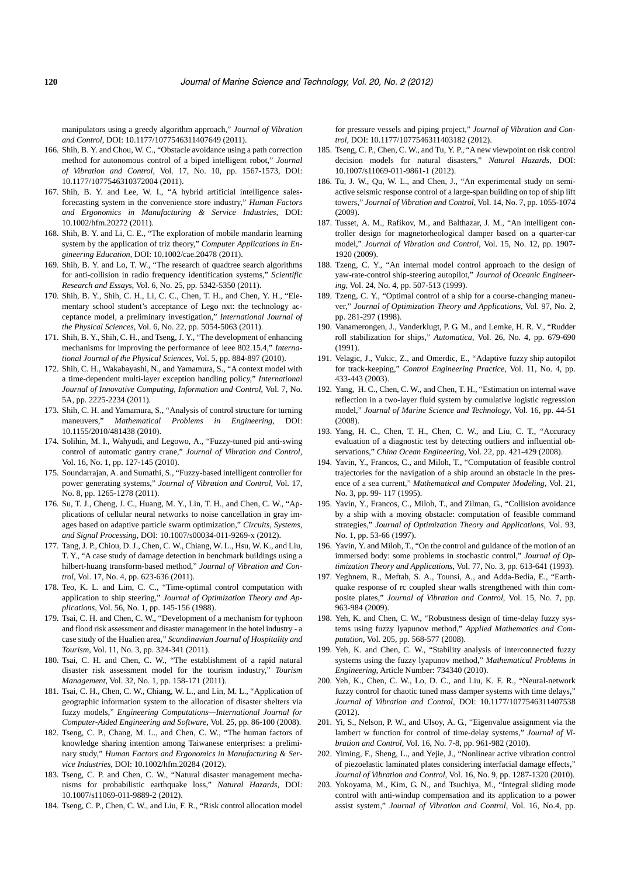manipulators using a greedy algorithm approach," *Journal of Vibration and Control*, DOI: 10.1177/1077546311407649 (2011).

- 166. Shih, B. Y. and Chou, W. C., "Obstacle avoidance using a path correction method for autonomous control of a biped intelligent robot," *Journal of Vibration and Control*, Vol. 17, No. 10, pp. 1567-1573, DOI: 10.1177/1077546310372004 (2011).
- 167. Shih, B. Y. and Lee, W. I., "A hybrid artificial intelligence salesforecasting system in the convenience store industry," *Human Factors and Ergonomics in Manufacturing & Service Industries*, DOI: 10.1002/hfm.20272 (2011).
- 168. Shih, B. Y. and Li, C. E., "The exploration of mobile mandarin learning system by the application of triz theory," *Computer Applications in Engineering Education*, DOI: 10.1002/cae.20478 (2011).
- 169. Shih, B. Y. and Lo, T. W., "The research of quadtree search algorithms for anti-collision in radio frequency identification systems," *Scientific Research and Essays*, Vol. 6, No. 25, pp. 5342-5350 (2011).
- 170. Shih, B. Y., Shih, C. H., Li, C. C., Chen, T. H., and Chen, Y. H., "Elementary school student's acceptance of Lego nxt: the technology acceptance model, a preliminary investigation," *International Journal of the Physical Sciences*, Vol. 6, No. 22, pp. 5054-5063 (2011).
- 171. Shih, B. Y., Shih, C. H., and Tseng, J. Y., "The development of enhancing mechanisms for improving the performance of ieee 802.15.4," *International Journal of the Physical Sciences*, Vol. 5, pp. 884-897 (2010).
- 172. Shih, C. H., Wakabayashi, N., and Yamamura, S., "A context model with a time-dependent multi-layer exception handling policy," *International Journal of Innovative Computing, Information and Control*, Vol. 7, No. 5A, pp. 2225-2234 (2011).
- 173. Shih, C. H. and Yamamura, S., "Analysis of control structure for turning maneuvers," *Mathematical Problems in Engineering*, DOI: 10.1155/2010/481438 (2010).
- 174. Solihin, M. I., Wahyudi, and Legowo, A., "Fuzzy-tuned pid anti-swing control of automatic gantry crane," *Journal of Vibration and Control*, Vol. 16, No. 1, pp. 127-145 (2010).
- 175. Soundarrajan, A. and Sumathi, S., "Fuzzy-based intelligent controller for power generating systems," *Journal of Vibration and Control*, Vol. 17, No. 8, pp. 1265-1278 (2011).
- 176. Su, T. J., Cheng, J. C., Huang, M. Y., Lin, T. H., and Chen, C. W., "Applications of cellular neural networks to noise cancellation in gray images based on adaptive particle swarm optimization," *Circuits, Systems, and Signal Processing*, DOI: 10.1007/s00034-011-9269-x (2012).
- 177. Tang, J. P., Chiou, D. J., Chen, C. W., Chiang, W. L., Hsu, W. K., and Liu, T. Y., "A case study of damage detection in benchmark buildings using a hilbert-huang transform-based method," *Journal of Vibration and Control*, Vol. 17, No. 4, pp. 623-636 (2011).
- 178. Teo, K. L. and Lim, C. C., "Time-optimal control computation with application to ship steering," *Journal of Optimization Theory and Applications*, Vol. 56, No. 1, pp. 145-156 (1988).
- 179. Tsai, C. H. and Chen, C. W., "Development of a mechanism for typhoon and flood risk assessment and disaster management in the hotel industry - a case study of the Hualien area," *Scandinavian Journal of Hospitality and Tourism*, Vol. 11, No. 3, pp. 324-341 (2011).
- 180. Tsai, C. H. and Chen, C. W., "The establishment of a rapid natural disaster risk assessment model for the tourism industry," *Tourism Management*, Vol. 32, No. 1, pp. 158-171 (2011).
- 181. Tsai, C. H., Chen, C. W., Chiang, W. L., and Lin, M. L., "Application of geographic information system to the allocation of disaster shelters via fuzzy models," *Engineering Computations—International Journal for Computer-Aided Engineering and Software*, Vol. 25, pp. 86-100 (2008).
- 182. Tseng, C. P., Chang, M. L., and Chen, C. W., "The human factors of knowledge sharing intention among Taiwanese enterprises: a preliminary study," *Human Factors and Ergonomics in Manufacturing & Service Industries*, DOI: 10.1002/hfm.20284 (2012).
- 183. Tseng, C. P. and Chen, C. W., "Natural disaster management mechanisms for probabilistic earthquake loss," *Natural Hazards*, DOI: 10.1007/s11069-011-9889-2 (2012).
- 184. Tseng, C. P., Chen, C. W., and Liu, F. R., "Risk control allocation model

for pressure vessels and piping project," *Journal of Vibration and Control*, DOI: 10.1177/1077546311403182 (2012).

- 185. Tseng, C. P., Chen, C. W., and Tu, Y. P., "A new viewpoint on risk control decision models for natural disasters," *Natural Hazards*, DOI: 10.1007/s11069-011-9861-1 (2012).
- 186. Tu, J. W., Qu, W. L., and Chen, J., "An experimental study on semiactive seismic response control of a large-span building on top of ship lift towers," *Journal of Vibration and Control*, Vol. 14, No. 7, pp. 1055-1074 (2009).
- 187. Tusset, A. M., Rafikov, M., and Balthazar, J. M., "An intelligent controller design for magnetorheological damper based on a quarter-car model," *Journal of Vibration and Control*, Vol. 15, No. 12, pp. 1907- 1920 (2009).
- 188. Tzeng, C. Y., "An internal model control approach to the design of yaw-rate-control ship-steering autopilot," *Journal of Oceanic Engineering*, Vol. 24, No. 4, pp. 507-513 (1999).
- 189. Tzeng, C. Y., "Optimal control of a ship for a course-changing maneuver," *Journal of Optimization Theory and Applications*, Vol. 97, No. 2, pp. 281-297 (1998).
- 190. Vanamerongen, J., Vanderklugt, P. G. M., and Lemke, H. R. V., "Rudder roll stabilization for ships," *Automatica*, Vol. 26, No. 4, pp. 679-690 (1991).
- 191. Velagic, J., Vukic, Z., and Omerdic, E., "Adaptive fuzzy ship autopilot for track-keeping," *Control Engineering Practice*, Vol. 11, No. 4, pp. 433-443 (2003).
- 192. Yang, H. C., Chen, C. W., and Chen, T. H., "Estimation on internal wave reflection in a two-layer fluid system by cumulative logistic regression model," *Journal of Marine Science and Technology*, Vol. 16, pp. 44-51 (2008).
- 193. Yang, H. C., Chen, T. H., Chen, C. W., and Liu, C. T., "Accuracy evaluation of a diagnostic test by detecting outliers and influential observations," *China Ocean Engineering*, Vol. 22, pp. 421-429 (2008).
- 194. Yavin, Y., Francos, C., and Miloh, T., "Computation of feasible control trajectories for the navigation of a ship around an obstacle in the presence of a sea current," *Mathematical and Computer Modeling*, Vol. 21, No. 3, pp. 99- 117 (1995).
- 195. Yavin, Y., Francos, C., Miloh, T., and Zilman, G., "Collision avoidance by a ship with a moving obstacle: computation of feasible command strategies," *Journal of Optimization Theory and Applications*, Vol. 93, No. 1, pp. 53-66 (1997).
- 196. Yavin, Y. and Miloh, T., "On the control and guidance of the motion of an immersed body: some problems in stochastic control," *Journal of Optimization Theory and Applications*, Vol. 77, No. 3, pp. 613-641 (1993).
- 197. Yeghnem, R., Meftah, S. A., Tounsi, A., and Adda-Bedia, E., "Earthquake response of rc coupled shear walls strengthened with thin composite plates," *Journal of Vibration and Control*, Vol. 15, No. 7, pp. 963-984 (2009).
- 198. Yeh, K. and Chen, C. W., "Robustness design of time-delay fuzzy systems using fuzzy lyapunov method," *Applied Mathematics and Computation*, Vol. 205, pp. 568-577 (2008).
- 199. Yeh, K. and Chen, C. W., "Stability analysis of interconnected fuzzy systems using the fuzzy lyapunov method," *Mathematical Problems in Engineering*, Article Number: 734340 (2010).
- 200. Yeh, K., Chen, C. W., Lo, D. C., and Liu, K. F. R., "Neural-network fuzzy control for chaotic tuned mass damper systems with time delays," *Journal of Vibration and Control*, DOI: 10.1177/1077546311407538 (2012).
- 201. Yi, S., Nelson, P. W., and Ulsoy, A. G., "Eigenvalue assignment via the lambert w function for control of time-delay systems," *Journal of Vibration and Control*, Vol. 16, No. 7-8, pp. 961-982 (2010).
- 202. Yiming, F., Sheng, L., and Yejie, J., "Nonlinear active vibration control of piezoelastic laminated plates considering interfacial damage effects," *Journal of Vibration and Control*, Vol. 16, No. 9, pp. 1287-1320 (2010).
- 203. Yokoyama, M., Kim, G. N., and Tsuchiya, M., "Integral sliding mode control with anti-windup compensation and its application to a power assist system," *Journal of Vibration and Control*, Vol. 16, No.4, pp.